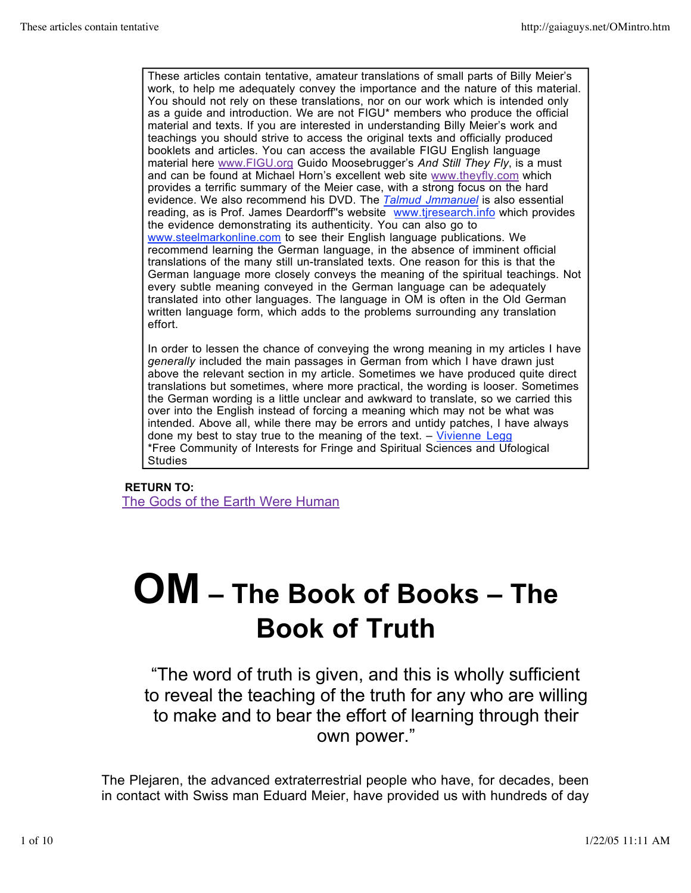These articles contain tentative, amateur translations of small parts of Billy Meier's work, to help me adequately convey the importance and the nature of this material. You should not rely on these translations, nor on our work which is intended only as a guide and introduction. We are not FIGU\* members who produce the official material and texts. If you are interested in understanding Billy Meier's work and teachings you should strive to access the original texts and officially produced booklets and articles. You can access the available FIGU English language material here www.FIGU.org Guido Moosebrugger's *And Still They Fly*, is a must and can be found at Michael Horn's excellent web site www.theyfly.com which provides a terrific summary of the Meier case, with a strong focus on the hard evidence. We also recommend his DVD. The *Talmud Jmmanuel* is also essential reading, as is Prof. James Deardorff's website www.tiresearch.info which provides the evidence demonstrating its authenticity. You can also go to www.steelmarkonline.com to see their English language publications. We recommend learning the German language, in the absence of imminent official translations of the many still un-translated texts. One reason for this is that the German language more closely conveys the meaning of the spiritual teachings. Not every subtle meaning conveyed in the German language can be adequately translated into other languages. The language in OM is often in the Old German written language form, which adds to the problems surrounding any translation effort.

In order to lessen the chance of conveying the wrong meaning in my articles I have *generally* included the main passages in German from which I have drawn just above the relevant section in my article. Sometimes we have produced quite direct translations but sometimes, where more practical, the wording is looser. Sometimes the German wording is a little unclear and awkward to translate, so we carried this over into the English instead of forcing a meaning which may not be what was intended. Above all, while there may be errors and untidy patches, I have always done my best to stay true to the meaning of the text.  $-$  Vivienne Legg \*Free Community of Interests for Fringe and Spiritual Sciences and Ufological **Studies** 

## **RETURN TO: The Gods of the Earth Were Human**

## **OM – The Book of Books – The Book of Truth**

"The word of truth is given, and this is wholly sufficient to reveal the teaching of the truth for any who are willing to make and to bear the effort of learning through their own power."

The Plejaren, the advanced extraterrestrial people who have, for decades, been in contact with Swiss man Eduard Meier, have provided us with hundreds of day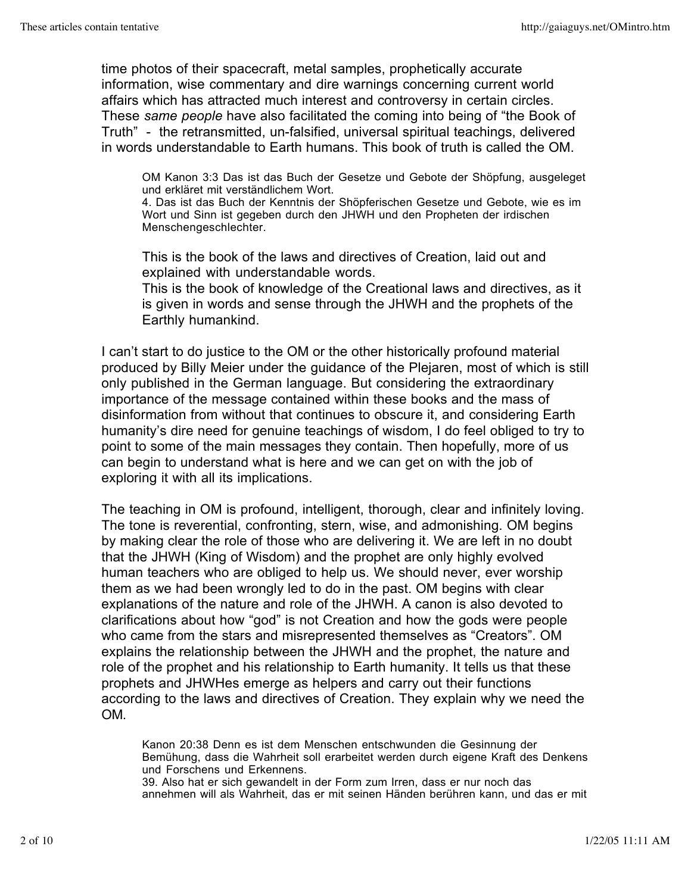time photos of their spacecraft, metal samples, prophetically accurate information, wise commentary and dire warnings concerning current world affairs which has attracted much interest and controversy in certain circles. These *same people* have also facilitated the coming into being of "the Book of Truth" - the retransmitted, un-falsified, universal spiritual teachings, delivered in words understandable to Earth humans. This book of truth is called the OM.

OM Kanon 3:3 Das ist das Buch der Gesetze und Gebote der Shöpfung, ausgeleget und erkläret mit verständlichem Wort.

4. Das ist das Buch der Kenntnis der Shöpferischen Gesetze und Gebote, wie es im Wort und Sinn ist gegeben durch den JHWH und den Propheten der irdischen Menschengeschlechter.

This is the book of the laws and directives of Creation, laid out and explained with understandable words.

This is the book of knowledge of the Creational laws and directives, as it is given in words and sense through the JHWH and the prophets of the Earthly humankind.

I can't start to do justice to the OM or the other historically profound material produced by Billy Meier under the guidance of the Plejaren, most of which is still only published in the German language. But considering the extraordinary importance of the message contained within these books and the mass of disinformation from without that continues to obscure it, and considering Earth humanity's dire need for genuine teachings of wisdom, I do feel obliged to try to point to some of the main messages they contain. Then hopefully, more of us can begin to understand what is here and we can get on with the job of exploring it with all its implications.

The teaching in OM is profound, intelligent, thorough, clear and infinitely loving. The tone is reverential, confronting, stern, wise, and admonishing. OM begins by making clear the role of those who are delivering it. We are left in no doubt that the JHWH (King of Wisdom) and the prophet are only highly evolved human teachers who are obliged to help us. We should never, ever worship them as we had been wrongly led to do in the past. OM begins with clear explanations of the nature and role of the JHWH. A canon is also devoted to clarifications about how "god" is not Creation and how the gods were people who came from the stars and misrepresented themselves as "Creators". OM explains the relationship between the JHWH and the prophet, the nature and role of the prophet and his relationship to Earth humanity. It tells us that these prophets and JHWHes emerge as helpers and carry out their functions according to the laws and directives of Creation. They explain why we need the OM.

Kanon 20:38 Denn es ist dem Menschen entschwunden die Gesinnung der Bemühung, dass die Wahrheit soll erarbeitet werden durch eigene Kraft des Denkens und Forschens und Erkennens.

39. Also hat er sich gewandelt in der Form zum Irren, dass er nur noch das annehmen will als Wahrheit, das er mit seinen Händen berühren kann, und das er mit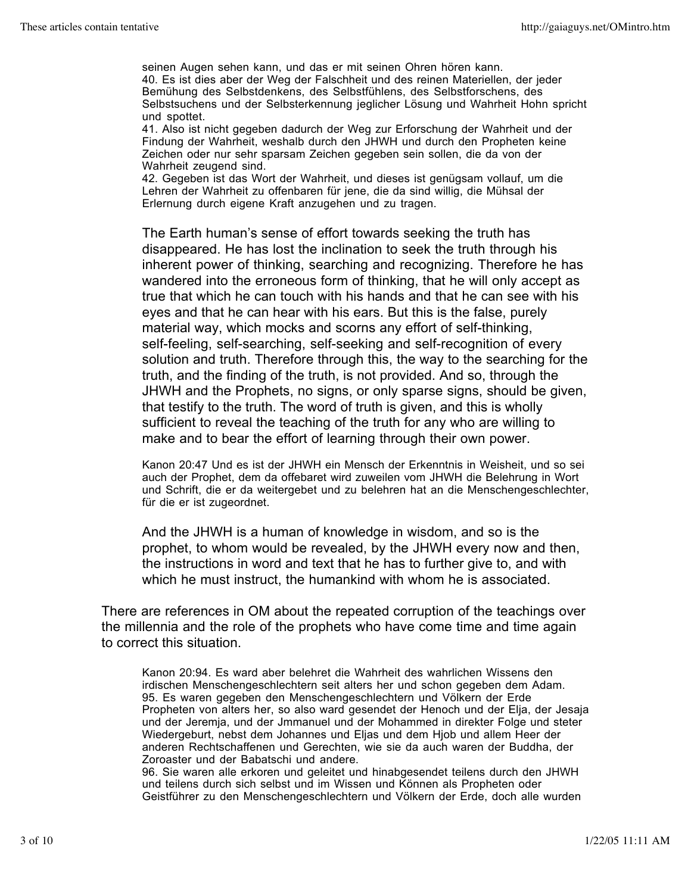seinen Augen sehen kann, und das er mit seinen Ohren hören kann. 40. Es ist dies aber der Weg der Falschheit und des reinen Materiellen, der jeder Bemühung des Selbstdenkens, des Selbstfühlens, des Selbstforschens, des Selbstsuchens und der Selbsterkennung jeglicher Lösung und Wahrheit Hohn spricht und spottet.

41. Also ist nicht gegeben dadurch der Weg zur Erforschung der Wahrheit und der Findung der Wahrheit, weshalb durch den JHWH und durch den Propheten keine Zeichen oder nur sehr sparsam Zeichen gegeben sein sollen, die da von der Wahrheit zeugend sind.

42. Gegeben ist das Wort der Wahrheit, und dieses ist genügsam vollauf, um die Lehren der Wahrheit zu offenbaren für jene, die da sind willig, die Mühsal der Erlernung durch eigene Kraft anzugehen und zu tragen.

The Earth human's sense of effort towards seeking the truth has disappeared. He has lost the inclination to seek the truth through his inherent power of thinking, searching and recognizing. Therefore he has wandered into the erroneous form of thinking, that he will only accept as true that which he can touch with his hands and that he can see with his eyes and that he can hear with his ears. But this is the false, purely material way, which mocks and scorns any effort of self-thinking, self-feeling, self-searching, self-seeking and self-recognition of every solution and truth. Therefore through this, the way to the searching for the truth, and the finding of the truth, is not provided. And so, through the JHWH and the Prophets, no signs, or only sparse signs, should be given, that testify to the truth. The word of truth is given, and this is wholly sufficient to reveal the teaching of the truth for any who are willing to make and to bear the effort of learning through their own power.

Kanon 20:47 Und es ist der JHWH ein Mensch der Erkenntnis in Weisheit, und so sei auch der Prophet, dem da offebaret wird zuweilen vom JHWH die Belehrung in Wort und Schrift, die er da weitergebet und zu belehren hat an die Menschengeschlechter, für die er ist zugeordnet.

And the JHWH is a human of knowledge in wisdom, and so is the prophet, to whom would be revealed, by the JHWH every now and then, the instructions in word and text that he has to further give to, and with which he must instruct, the humankind with whom he is associated.

There are references in OM about the repeated corruption of the teachings over the millennia and the role of the prophets who have come time and time again to correct this situation.

Kanon 20:94. Es ward aber belehret die Wahrheit des wahrlichen Wissens den irdischen Menschengeschlechtern seit alters her und schon gegeben dem Adam. 95. Es waren gegeben den Menschengeschlechtern und Völkern der Erde Propheten von alters her, so also ward gesendet der Henoch und der Elja, der Jesaja und der Jeremja, und der Jmmanuel und der Mohammed in direkter Folge und steter Wiedergeburt, nebst dem Johannes und Eljas und dem Hjob und allem Heer der anderen Rechtschaffenen und Gerechten, wie sie da auch waren der Buddha, der Zoroaster und der Babatschi und andere.

96. Sie waren alle erkoren und geleitet und hinabgesendet teilens durch den JHWH und teilens durch sich selbst und im Wissen und Können als Propheten oder Geistführer zu den Menschengeschlechtern und Völkern der Erde, doch alle wurden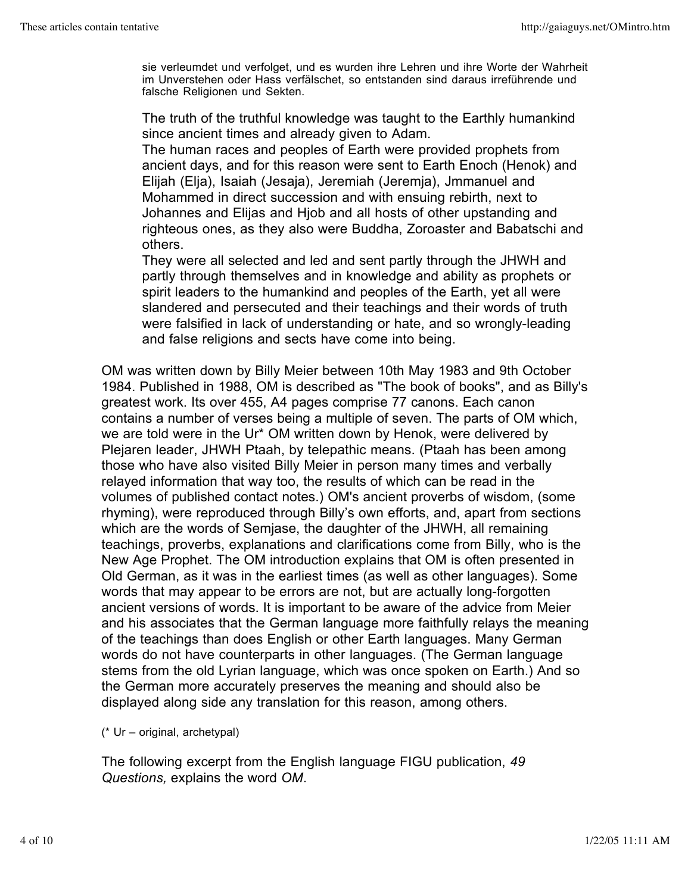sie verleumdet und verfolget, und es wurden ihre Lehren und ihre Worte der Wahrheit im Unverstehen oder Hass verfälschet, so entstanden sind daraus irreführende und falsche Religionen und Sekten.

The truth of the truthful knowledge was taught to the Earthly humankind since ancient times and already given to Adam.

The human races and peoples of Earth were provided prophets from ancient days, and for this reason were sent to Earth Enoch (Henok) and Elijah (Elja), Isaiah (Jesaja), Jeremiah (Jeremja), Jmmanuel and Mohammed in direct succession and with ensuing rebirth, next to Johannes and Elijas and Hjob and all hosts of other upstanding and righteous ones, as they also were Buddha, Zoroaster and Babatschi and others.

They were all selected and led and sent partly through the JHWH and partly through themselves and in knowledge and ability as prophets or spirit leaders to the humankind and peoples of the Earth, yet all were slandered and persecuted and their teachings and their words of truth were falsified in lack of understanding or hate, and so wrongly-leading and false religions and sects have come into being.

OM was written down by Billy Meier between 10th May 1983 and 9th October 1984. Published in 1988, OM is described as "The book of books", and as Billy's greatest work. Its over 455, A4 pages comprise 77 canons. Each canon contains a number of verses being a multiple of seven. The parts of OM which, we are told were in the Ur\* OM written down by Henok, were delivered by Plejaren leader, JHWH Ptaah, by telepathic means. (Ptaah has been among those who have also visited Billy Meier in person many times and verbally relayed information that way too, the results of which can be read in the volumes of published contact notes.) OM's ancient proverbs of wisdom, (some rhyming), were reproduced through Billy's own efforts, and, apart from sections which are the words of Semjase, the daughter of the JHWH, all remaining teachings, proverbs, explanations and clarifications come from Billy, who is the New Age Prophet. The OM introduction explains that OM is often presented in Old German, as it was in the earliest times (as well as other languages). Some words that may appear to be errors are not, but are actually long-forgotten ancient versions of words. It is important to be aware of the advice from Meier and his associates that the German language more faithfully relays the meaning of the teachings than does English or other Earth languages. Many German words do not have counterparts in other languages. (The German language stems from the old Lyrian language, which was once spoken on Earth.) And so the German more accurately preserves the meaning and should also be displayed along side any translation for this reason, among others.

(\* Ur – original, archetypal)

The following excerpt from the English language FIGU publication, *49 Questions,* explains the word *OM*.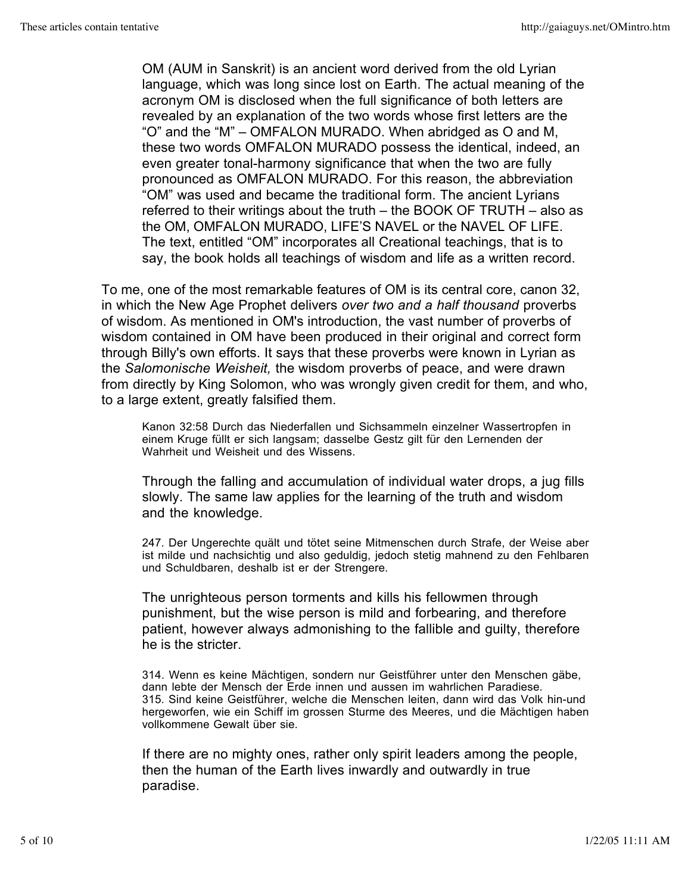OM (AUM in Sanskrit) is an ancient word derived from the old Lyrian language, which was long since lost on Earth. The actual meaning of the acronym OM is disclosed when the full significance of both letters are revealed by an explanation of the two words whose first letters are the "O" and the "M" – OMFALON MURADO. When abridged as O and M, these two words OMFALON MURADO possess the identical, indeed, an even greater tonal-harmony significance that when the two are fully pronounced as OMFALON MURADO. For this reason, the abbreviation "OM" was used and became the traditional form. The ancient Lyrians referred to their writings about the truth – the BOOK OF TRUTH – also as the OM, OMFALON MURADO, LIFE'S NAVEL or the NAVEL OF LIFE. The text, entitled "OM" incorporates all Creational teachings, that is to say, the book holds all teachings of wisdom and life as a written record.

To me, one of the most remarkable features of OM is its central core, canon 32, in which the New Age Prophet delivers *over two and a half thousand* proverbs of wisdom. As mentioned in OM's introduction, the vast number of proverbs of wisdom contained in OM have been produced in their original and correct form through Billy's own efforts. It says that these proverbs were known in Lyrian as the *Salomonische Weisheit,* the wisdom proverbs of peace, and were drawn from directly by King Solomon, who was wrongly given credit for them, and who, to a large extent, greatly falsified them.

Kanon 32:58 Durch das Niederfallen und Sichsammeln einzelner Wassertropfen in einem Kruge füllt er sich langsam; dasselbe Gestz gilt für den Lernenden der Wahrheit und Weisheit und des Wissens.

Through the falling and accumulation of individual water drops, a jug fills slowly. The same law applies for the learning of the truth and wisdom and the knowledge.

247. Der Ungerechte quält und tötet seine Mitmenschen durch Strafe, der Weise aber ist milde und nachsichtig und also geduldig, jedoch stetig mahnend zu den Fehlbaren und Schuldbaren, deshalb ist er der Strengere.

The unrighteous person torments and kills his fellowmen through punishment, but the wise person is mild and forbearing, and therefore patient, however always admonishing to the fallible and guilty, therefore he is the stricter.

314. Wenn es keine Mächtigen, sondern nur Geistführer unter den Menschen gäbe, dann lebte der Mensch der Erde innen und aussen im wahrlichen Paradiese. 315. Sind keine Geistführer, welche die Menschen leiten, dann wird das Volk hin-und hergeworfen, wie ein Schiff im grossen Sturme des Meeres, und die Mächtigen haben vollkommene Gewalt über sie.

If there are no mighty ones, rather only spirit leaders among the people, then the human of the Earth lives inwardly and outwardly in true paradise.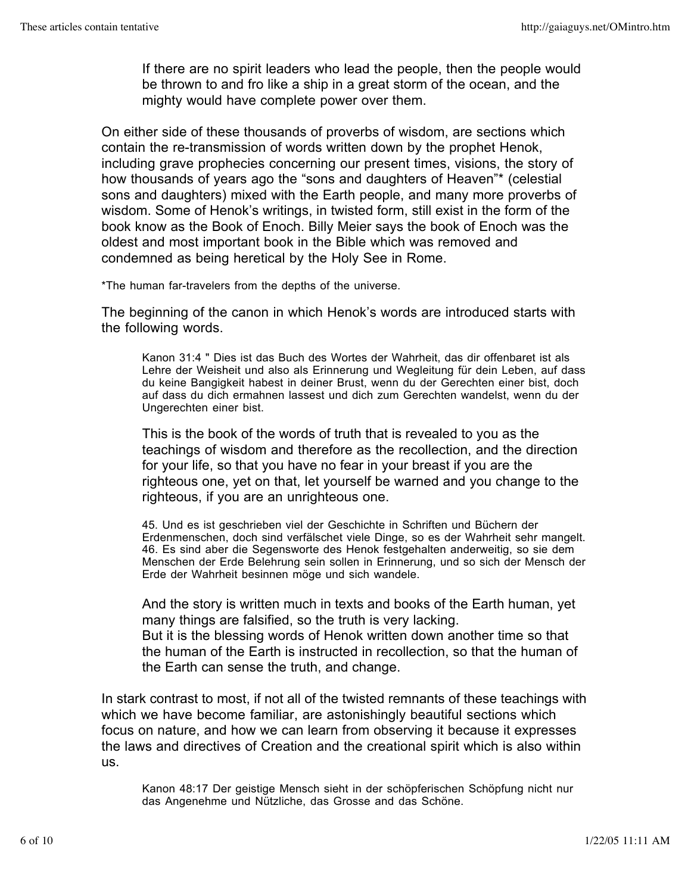If there are no spirit leaders who lead the people, then the people would be thrown to and fro like a ship in a great storm of the ocean, and the mighty would have complete power over them.

On either side of these thousands of proverbs of wisdom, are sections which contain the re-transmission of words written down by the prophet Henok, including grave prophecies concerning our present times, visions, the story of how thousands of years ago the "sons and daughters of Heaven"\* (celestial sons and daughters) mixed with the Earth people, and many more proverbs of wisdom. Some of Henok's writings, in twisted form, still exist in the form of the book know as the Book of Enoch. Billy Meier says the book of Enoch was the oldest and most important book in the Bible which was removed and condemned as being heretical by the Holy See in Rome.

\*The human far-travelers from the depths of the universe.

The beginning of the canon in which Henok's words are introduced starts with the following words.

Kanon 31:4 " Dies ist das Buch des Wortes der Wahrheit, das dir offenbaret ist als Lehre der Weisheit und also als Erinnerung und Wegleitung für dein Leben, auf dass du keine Bangigkeit habest in deiner Brust, wenn du der Gerechten einer bist, doch auf dass du dich ermahnen lassest und dich zum Gerechten wandelst, wenn du der Ungerechten einer bist.

This is the book of the words of truth that is revealed to you as the teachings of wisdom and therefore as the recollection, and the direction for your life, so that you have no fear in your breast if you are the righteous one, yet on that, let yourself be warned and you change to the righteous, if you are an unrighteous one.

45. Und es ist geschrieben viel der Geschichte in Schriften und Büchern der Erdenmenschen, doch sind verfälschet viele Dinge, so es der Wahrheit sehr mangelt. 46. Es sind aber die Segensworte des Henok festgehalten anderweitig, so sie dem Menschen der Erde Belehrung sein sollen in Erinnerung, und so sich der Mensch der Erde der Wahrheit besinnen möge und sich wandele.

And the story is written much in texts and books of the Earth human, yet many things are falsified, so the truth is very lacking. But it is the blessing words of Henok written down another time so that the human of the Earth is instructed in recollection, so that the human of the Earth can sense the truth, and change.

In stark contrast to most, if not all of the twisted remnants of these teachings with which we have become familiar, are astonishingly beautiful sections which focus on nature, and how we can learn from observing it because it expresses the laws and directives of Creation and the creational spirit which is also within us.

Kanon 48:17 Der geistige Mensch sieht in der schöpferischen Schöpfung nicht nur das Angenehme und Nützliche, das Grosse and das Schöne.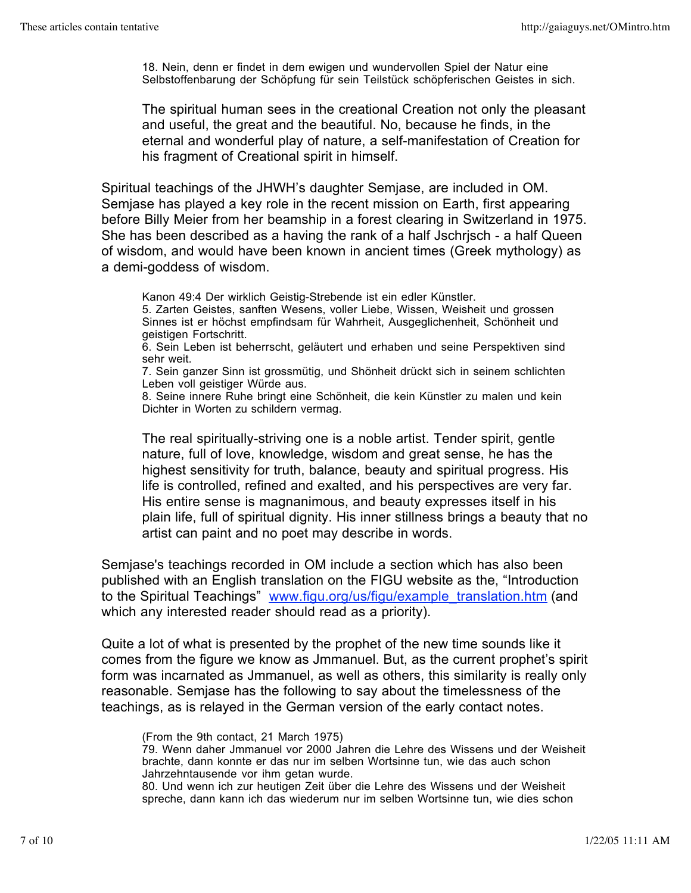18. Nein, denn er findet in dem ewigen und wundervollen Spiel der Natur eine Selbstoffenbarung der Schöpfung für sein Teilstück schöpferischen Geistes in sich.

The spiritual human sees in the creational Creation not only the pleasant and useful, the great and the beautiful. No, because he finds, in the eternal and wonderful play of nature, a self-manifestation of Creation for his fragment of Creational spirit in himself.

Spiritual teachings of the JHWH's daughter Semjase, are included in OM. Semjase has played a key role in the recent mission on Earth, first appearing before Billy Meier from her beamship in a forest clearing in Switzerland in 1975. She has been described as a having the rank of a half Jschrjsch - a half Queen of wisdom, and would have been known in ancient times (Greek mythology) as a demi-goddess of wisdom.

Kanon 49:4 Der wirklich Geistig-Strebende ist ein edler Künstler.

5. Zarten Geistes, sanften Wesens, voller Liebe, Wissen, Weisheit und grossen Sinnes ist er höchst empfindsam für Wahrheit, Ausgeglichenheit, Schönheit und geistigen Fortschritt.

6. Sein Leben ist beherrscht, geläutert und erhaben und seine Perspektiven sind sehr weit.

7. Sein ganzer Sinn ist grossmütig, und Shönheit drückt sich in seinem schlichten Leben voll geistiger Würde aus.

8. Seine innere Ruhe bringt eine Schönheit, die kein Künstler zu malen und kein Dichter in Worten zu schildern vermag.

The real spiritually-striving one is a noble artist. Tender spirit, gentle nature, full of love, knowledge, wisdom and great sense, he has the highest sensitivity for truth, balance, beauty and spiritual progress. His life is controlled, refined and exalted, and his perspectives are very far. His entire sense is magnanimous, and beauty expresses itself in his plain life, full of spiritual dignity. His inner stillness brings a beauty that no artist can paint and no poet may describe in words.

Semjase's teachings recorded in OM include a section which has also been published with an English translation on the FIGU website as the, "Introduction to the Spiritual Teachings" www.figu.org/us/figu/example\_translation.htm (and which any interested reader should read as a priority).

Quite a lot of what is presented by the prophet of the new time sounds like it comes from the figure we know as Jmmanuel. But, as the current prophet's spirit form was incarnated as Jmmanuel, as well as others, this similarity is really only reasonable. Semjase has the following to say about the timelessness of the teachings, as is relayed in the German version of the early contact notes.

(From the 9th contact, 21 March 1975)

79. Wenn daher Jmmanuel vor 2000 Jahren die Lehre des Wissens und der Weisheit brachte, dann konnte er das nur im selben Wortsinne tun, wie das auch schon Jahrzehntausende vor ihm getan wurde.

80. Und wenn ich zur heutigen Zeit über die Lehre des Wissens und der Weisheit spreche, dann kann ich das wiederum nur im selben Wortsinne tun, wie dies schon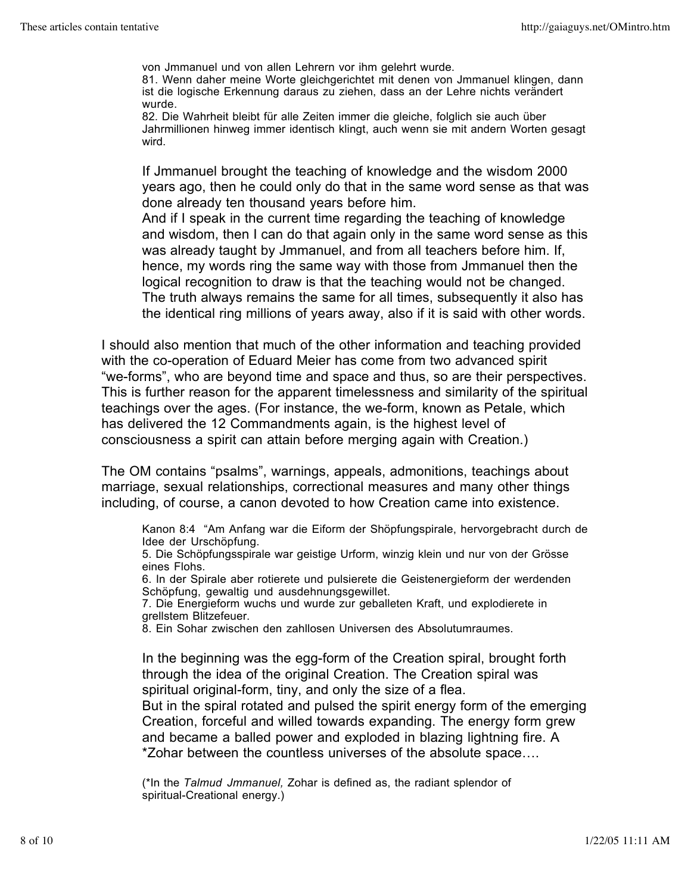von Jmmanuel und von allen Lehrern vor ihm gelehrt wurde.

81. Wenn daher meine Worte gleichgerichtet mit denen von Jmmanuel klingen, dann ist die logische Erkennung daraus zu ziehen, dass an der Lehre nichts verändert wurde.

82. Die Wahrheit bleibt für alle Zeiten immer die gleiche, folglich sie auch über Jahrmillionen hinweg immer identisch klingt, auch wenn sie mit andern Worten gesagt wird.

If Jmmanuel brought the teaching of knowledge and the wisdom 2000 years ago, then he could only do that in the same word sense as that was done already ten thousand years before him.

And if I speak in the current time regarding the teaching of knowledge and wisdom, then I can do that again only in the same word sense as this was already taught by Jmmanuel, and from all teachers before him. If, hence, my words ring the same way with those from Jmmanuel then the logical recognition to draw is that the teaching would not be changed. The truth always remains the same for all times, subsequently it also has the identical ring millions of years away, also if it is said with other words.

I should also mention that much of the other information and teaching provided with the co-operation of Eduard Meier has come from two advanced spirit "we-forms", who are beyond time and space and thus, so are their perspectives. This is further reason for the apparent timelessness and similarity of the spiritual teachings over the ages. (For instance, the we-form, known as Petale, which has delivered the 12 Commandments again, is the highest level of consciousness a spirit can attain before merging again with Creation.)

The OM contains "psalms", warnings, appeals, admonitions, teachings about marriage, sexual relationships, correctional measures and many other things including, of course, a canon devoted to how Creation came into existence.

Kanon 8:4 "Am Anfang war die Eiform der Shöpfungspirale, hervorgebracht durch de Idee der Urschöpfung.

5. Die Schöpfungsspirale war geistige Urform, winzig klein und nur von der Grösse eines Flohs.

6. In der Spirale aber rotierete und pulsierete die Geistenergieform der werdenden Schöpfung, gewaltig und ausdehnungsgewillet.

7. Die Energieform wuchs und wurde zur geballeten Kraft, und explodierete in grellstem Blitzefeuer.

8. Ein Sohar zwischen den zahllosen Universen des Absolutumraumes.

In the beginning was the egg-form of the Creation spiral, brought forth through the idea of the original Creation. The Creation spiral was spiritual original-form, tiny, and only the size of a flea.

But in the spiral rotated and pulsed the spirit energy form of the emerging Creation, forceful and willed towards expanding. The energy form grew and became a balled power and exploded in blazing lightning fire. A \*Zohar between the countless universes of the absolute space….

(\*In the *Talmud Jmmanuel,* Zohar is defined as, the radiant splendor of spiritual-Creational energy.)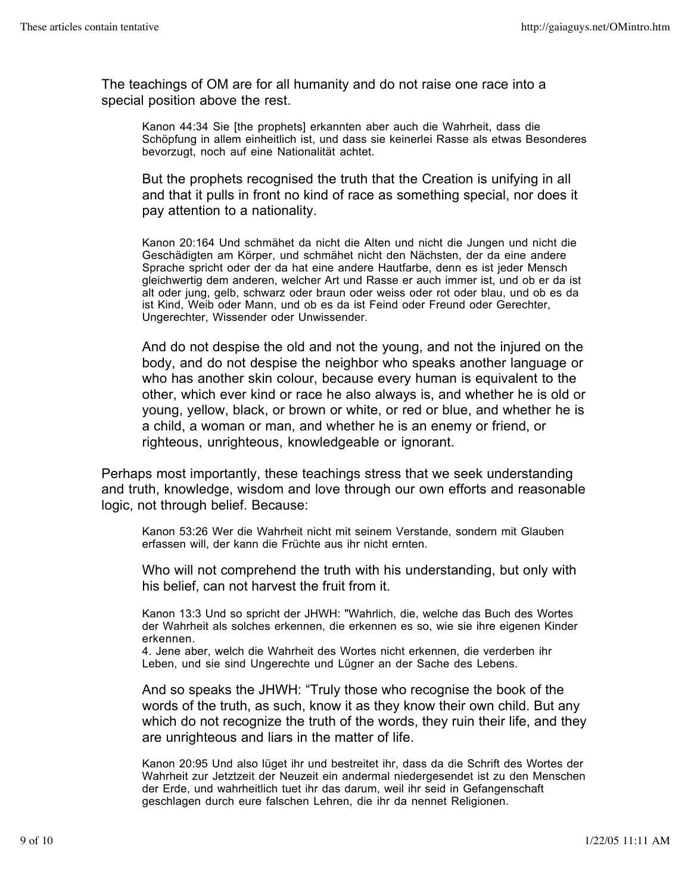The teachings of OM are for all humanity and do not raise one race into a special position above the rest.

Kanon 44:34 Sie [the prophets] erkannten aber auch die Wahrheit, dass die Schöpfung in allem einheitlich ist, und dass sie keinerlei Rasse als etwas Besonderes bevorzugt, noch auf eine Nationalität achtet.

But the prophets recognised the truth that the Creation is unifying in all and that it pulls in front no kind of race as something special, nor does it pay attention to a nationality.

Kanon 20:164 Und schmähet da nicht die Alten und nicht die Jungen und nicht die Geschädigten am Körper, und schmähet nicht den Nächsten, der da eine andere Sprache spricht oder der da hat eine andere Hautfarbe, denn es ist jeder Mensch gleichwertig dem anderen, welcher Art und Rasse er auch immer ist, und ob er da ist alt oder jung, gelb, schwarz oder braun oder weiss oder rot oder blau, und ob es da ist Kind, Weib oder Mann, und ob es da ist Feind oder Freund oder Gerechter, Ungerechter, Wissender oder Unwissender.

And do not despise the old and not the young, and not the injured on the body, and do not despise the neighbor who speaks another language or who has another skin colour, because every human is equivalent to the other, which ever kind or race he also always is, and whether he is old or young, yellow, black, or brown or white, or red or blue, and whether he is a child, a woman or man, and whether he is an enemy or friend, or righteous, unrighteous, knowledgeable or ignorant.

Perhaps most importantly, these teachings stress that we seek understanding and truth, knowledge, wisdom and love through our own efforts and reasonable logic, not through belief. Because:

Kanon 53:26 Wer die Wahrheit nicht mit seinem Verstande, sondern mit Glauben erfassen will, der kann die Früchte aus ihr nicht ernten.

Who will not comprehend the truth with his understanding, but only with his belief, can not harvest the fruit from it.

Kanon 13:3 Und so spricht der JHWH: "Wahrlich, die, welche das Buch des Wortes der Wahrheit als solches erkennen, die erkennen es so, wie sie ihre eigenen Kinder erkennen.

4. Jene aber, welch die Wahrheit des Wortes nicht erkennen, die verderben ihr Leben, und sie sind Ungerechte und Lügner an der Sache des Lebens.

And so speaks the JHWH: "Truly those who recognise the book of the words of the truth, as such, know it as they know their own child. But any which do not recognize the truth of the words, they ruin their life, and they are unrighteous and liars in the matter of life.

Kanon 20:95 Und also lüget ihr und bestreitet ihr, dass da die Schrift des Wortes der Wahrheit zur Jetztzeit der Neuzeit ein andermal niedergesendet ist zu den Menschen der Erde, und wahrheitlich tuet ihr das darum, weil ihr seid in Gefangenschaft geschlagen durch eure falschen Lehren, die ihr da nennet Religionen.